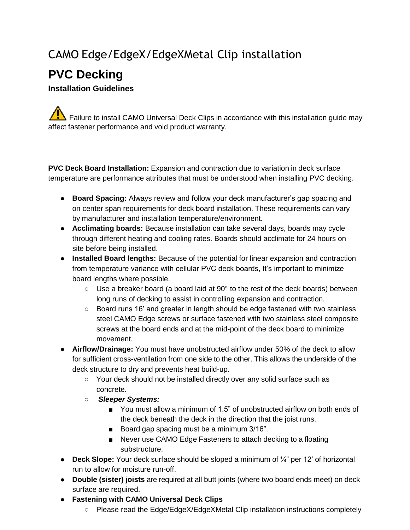## CAMO Edge/EdgeX/EdgeXMetal Clip installation

## **PVC Decking**

## **Installation Guidelines**

Failure to install CAMO Universal Deck Clips in accordance with this installation guide may affect fastener performance and void product warranty.

**PVC Deck Board Installation:** Expansion and contraction due to variation in deck surface temperature are performance attributes that must be understood when installing PVC decking.

- **Board Spacing:** Always review and follow your deck manufacturer's gap spacing and on center span requirements for deck board installation. These requirements can vary by manufacturer and installation temperature/environment.
- **Acclimating boards:** Because installation can take several days, boards may cycle through different heating and cooling rates. Boards should acclimate for 24 hours on site before being installed.
- **Installed Board lengths:** Because of the potential for linear expansion and contraction from temperature variance with cellular PVC deck boards, It's important to minimize board lengths where possible.
	- $\circ$  Use a breaker board (a board laid at 90 $\degree$  to the rest of the deck boards) between long runs of decking to assist in controlling expansion and contraction.
	- Board runs 16' and greater in length should be edge fastened with two stainless steel CAMO Edge screws or surface fastened with two stainless steel composite screws at the board ends and at the mid-point of the deck board to minimize movement.
- **Airflow/Drainage:** You must have unobstructed airflow under 50% of the deck to allow for sufficient cross-ventilation from one side to the other. This allows the underside of the deck structure to dry and prevents heat build-up.
	- Your deck should not be installed directly over any solid surface such as concrete.
	- *Sleeper Systems:*
		- You must allow a minimum of 1.5" of unobstructed airflow on both ends of the deck beneath the deck in the direction that the joist runs.
		- Board gap spacing must be a minimum 3/16".
		- Never use CAMO Edge Fasteners to attach decking to a floating substructure.
- **Deck Slope:** Your deck surface should be sloped a minimum of ¼" per 12' of horizontal run to allow for moisture run-off.
- **Double (sister) joists** are required at all butt joints (where two board ends meet) on deck surface are required.
- **Fastening with CAMO Universal Deck Clips**
	- Please read the Edge/EdgeX/EdgeXMetal Clip installation instructions completely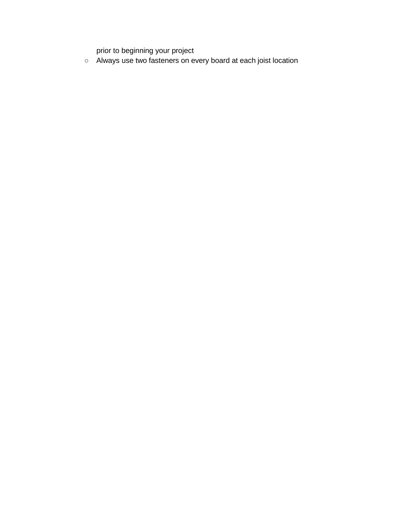prior to beginning your project

○ Always use two fasteners on every board at each joist location